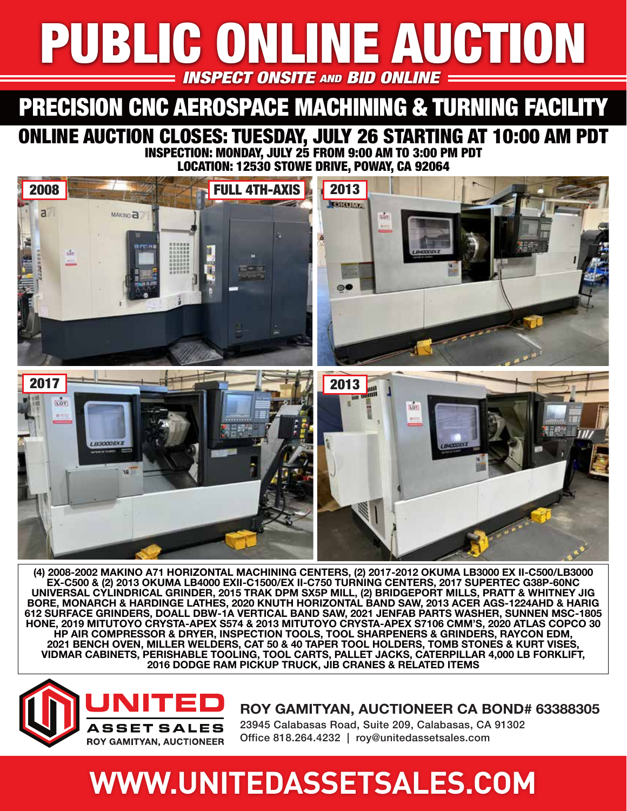# PUBLIC ONLINE AUCTION INSPECT ONSITE AND BID ONLINE

## PRECISION CNC AEROSPACE MACHINING & TURNING FACILITY

#### ONLINE AUCTION CLOSES: TUESDAY, JULY 26 STARTING AT 10:00 AM PDT INSPECTION: MONDAY, JULY 25 FROM 9:00 AM TO 3:00 PM PDT

LOCATION: 12530 STOWE DRIVE, POWAY, CA 92064



**(4) 2008-2002 MAKINO A71 HORIZONTAL MACHINING CENTERS, (2) 2017-2012 OKUMA LB3000 EX II-C500/LB3000 EX-C500 & (2) 2013 OKUMA LB4000 EXII-C1500/EX II-C750 TURNING CENTERS, 2017 SUPERTEC G38P-60NC UNIVERSAL CYLINDRICAL GRINDER, 2015 TRAK DPM SX5P MILL, (2) BRIDGEPORT MILLS, PRATT & WHITNEY JIG BORE, MONARCH & HARDINGE LATHES, 2020 KNUTH HORIZONTAL BAND SAW, 2013 ACER AGS-1224AHD & HARIG 612 SURFACE GRINDERS, DOALL DBW-1A VERTICAL BAND SAW, 2021 JENFAB PARTS WASHER, SUNNEN MSC-1805 HONE, 2019 MITUTOYO CRYSTA-APEX S574 & 2013 MITUTOYO CRYSTA-APEX S7106 CMM'S, 2020 ATLAS COPCO 30 HP AIR COMPRESSOR & DRYER, INSPECTION TOOLS, TOOL SHARPENERS & GRINDERS, RAYCON EDM, 2021 BENCH OVEN, MILLER WELDERS, CAT 50 & 40 TAPER TOOL HOLDERS, TOMB STONES & KURT VISES, VIDMAR CABINETS, PERISHABLE TOOLING, TOOL CARTS, PALLET JACKS, CATERPILLAR 4,000 LB FORKLIFT, 2016 DODGE RAM PICKUP TRUCK, JIB CRANES & RELATED ITEMS**



**ROY GAMITYAN, AUCTIONEER CA BOND# 63388305**

23945 Calabasas Road, Suite 209, Calabasas, CA 91302 Office 818.264.4232 | roy@unitedassetsales.com

# **WWW.UNITEDASSETSALES.COM**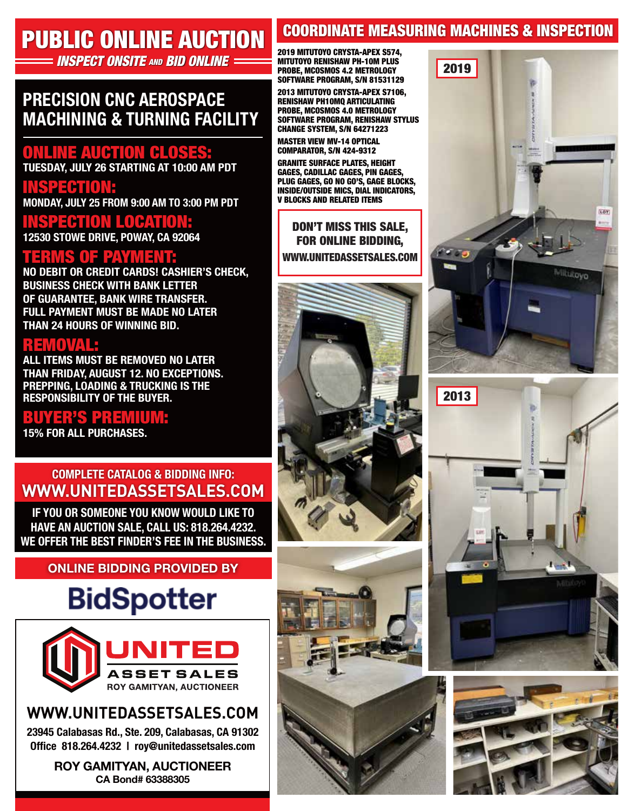## PUBLIC ONLINE AUCTION

INSPECT ONSITE AND BID ONLINE

### **PRECISION CNC AEROSPACE MACHINING & TURNING FACILITY**

#### ONLINE AUCTION CLOSES:

**TUESDAY, JULY 26 STARTING AT 10:00 AM PDT**

#### INSPECTION:

**MONDAY, JULY 25 FROM 9:00 AM TO 3:00 PM PDT**

#### INSPECTION LOCATION:

**12530 STOWE DRIVE, POWAY, CA 92064**

TERMS OF PAYMENT: **NO DEBIT OR CREDIT CARDS! CASHIER'S CHECK, BUSINESS CHECK WITH BANK LETTER OF GUARANTEE, BANK WIRE TRANSFER. FULL PAYMENT MUST BE MADE NO LATER THAN 24 HOURS OF WINNING BID.** 

#### REMOVAL:

**ALL ITEMS MUST BE REMOVED NO LATER THAN FRIDAY, AUGUST 12. NO EXCEPTIONS. PREPPING, LOADING & TRUCKING IS THE RESPONSIBILITY OF THE BUYER.**

#### BUYER'S PREMIUM:

**15% FOR ALL PURCHASES.**

#### **COMPLETE CATALOG & BIDDING INFO: WWW.UNITEDASSETSALES.COM**

**IF YOU OR SOMEONE YOU KNOW WOULD LIKE TO HAVE AN AUCTION SALE, CALL US: 818.264.4232. WE OFFER THE BEST FINDER'S FEE IN THE BUSINESS.**

#### **ONLINE BIDDING PROVIDED BY**

# **BidSpotter**



### **WWW.UNITEDASSETSALES.COM**

**23945 Calabasas Rd., Ste. 209, Calabasas, CA 91302 Office 818.264.4232 | roy@unitedassetsales.com**

> **ROY GAMITYAN, AUCTIONEER CA Bond# 63388305**

#### COORDINATE MEASURING MACHINES & INSPECTION

2019 MITUTOYO CRYSTA-APEX S574, MITUTOYO RENISHAW PH-10M PLUS PROBE, MCOSMOS 4.2 METROLOGY SOFTWARE PROGRAM, S/N 81531129

2013 MITUTOYO CRYSTA-APEX S7106, RENISHAW PH10MQ ARTICULATING PROBE, MCOSMOS 4.0 METROLOGY SOFTWARE PROGRAM, RENISHAW STYLUS CHANGE SYSTEM, S/N 64271223

MASTER VIEW MV-14 OPTICAL COMPARATOR, S/N 424-9312

GRANITE SURFACE PLATES, HEIGHT GAGES, CADILLAC GAGES, PIN GAGES, PLUG GAGES, GO NO GO'S, GAGE BLOCKS, INSIDE/OUTSIDE MICS, DIAL INDICATORS, V BLOCKS AND RELATED ITEMS

#### DON'T MISS THIS SALE, FOR ONLINE BIDDING, WWW.UNITEDASSETSALES.COM







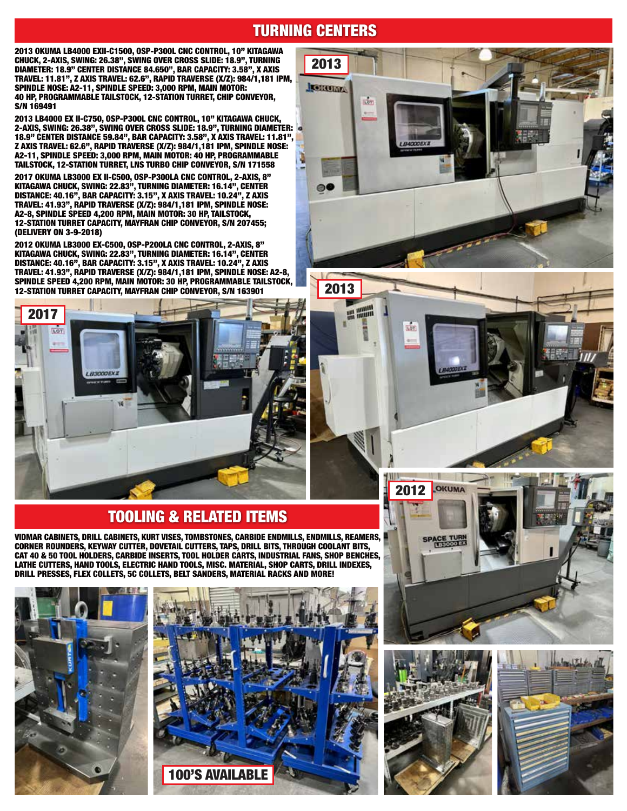#### TURNING CENTERS

2013 OKUMA LB4000 EXII-C1500, OSP-P300L CNC CONTROL, 10" KITAGAWA CHUCK, 2-AXIS, SWING: 26.38", SWING OVER CROSS SLIDE: 18.9", TURNING DIAMETER: 18.9" CENTER DISTANCE 84.650", BAR CAPACITY: 3.58", X AXIS TRAVEL: 11.81", Z AXIS TRAVEL: 62.6", RAPID TRAVERSE (X/Z): 984/1,181 IPM, SPINDLE NOSE: A2-11, SPINDLE SPEED: 3,000 RPM, MAIN MOTOR: 40 HP, PROGRAMMABLE TAILSTOCK, 12-STATION TURRET, CHIP CONVEYOR, S/N 169491

2013 LB4000 EX II-C750, OSP-P300L CNC CONTROL, 10" KITAGAWA CHUCK, 2-AXIS, SWING: 26.38", SWING OVER CROSS SLIDE: 18.9", TURNING DIAMETER: 18.9" CENTER DISTANCE 59.84", BAR CAPACITY: 3.58", X AXIS TRAVEL: 11.81", Z AXIS TRAVEL: 62.6", RAPID TRAVERSE (X/Z): 984/1,181 IPM, SPINDLE NOSE: A2-11, SPINDLE SPEED: 3,000 RPM, MAIN MOTOR: 40 HP, PROGRAMMABLE TAILSTOCK, 12-STATION TURRET, LNS TURBO CHIP CONVEYOR, S/N 171558

2017 OKUMA LB3000 EX II-C500, OSP-P300LA CNC CONTROL, 2-AXIS, 8" KITAGAWA CHUCK, SWING: 22.83", TURNING DIAMETER: 16.14", CENTER DISTANCE: 40.16", BAR CAPACITY: 3.15", X AXIS TRAVEL: 10.24", Z AXIS TRAVEL: 41.93", RAPID TRAVERSE (X/Z): 984/1,181 IPM, SPINDLE NOSE: A2-8, SPINDLE SPEED 4,200 RPM, MAIN MOTOR: 30 HP, TAILSTOCK, 12-STATION TURRET CAPACITY, MAYFRAN CHIP CONVEYOR, S/N 207455; (DELIVERY ON 3-9-2018)

2012 OKUMA LB3000 EX-C500, OSP-P200LA CNC CONTROL, 2-AXIS, 8" KITAGAWA CHUCK, SWING: 22.83", TURNING DIAMETER: 16.14", CENTER DISTANCE: 40.16", BAR CAPACITY: 3.15", X AXIS TRAVEL: 10.24", Z AXIS TRAVEL: 41.93", RAPID TRAVERSE (X/Z): 984/1,181 IPM, SPINDLE NOSE: A2-8, SPINDLE SPEED 4,200 RPM, MAIN MOTOR: 30 HP, PROGRAMMABLE TAILSTOCK, 12-STATION TURRET CAPACITY, MAYFRAN CHIP CONVEYOR, S/N 163901



#### TOOLING & RELATED ITEMS

VIDMAR CABINETS, DRILL CABINETS, KURT VISES, TOMBSTONES, CARBIDE ENDMILLS, ENDMILLS, REAMERS, CORNER ROUNDERS, KEYWAY CUTTER, DOVETAIL CUTTERS, TAPS, DRILL BITS, THROUGH COOLANT BITS, CAT 40 & 50 TOOL HOLDERS, CARBIDE INSERTS, TOOL HOLDER CARTS, INDUSTRIAL FANS, SHOP BENCHES, LATHE CUTTERS, HAND TOOLS, ELECTRIC HAND TOOLS, MISC. MATERIAL, SHOP CARTS, DRILL INDEXES, DRILL PRESSES, FLEX COLLETS, 5C COLLETS, BELT SANDERS, MATERIAL RACKS AND MORE!













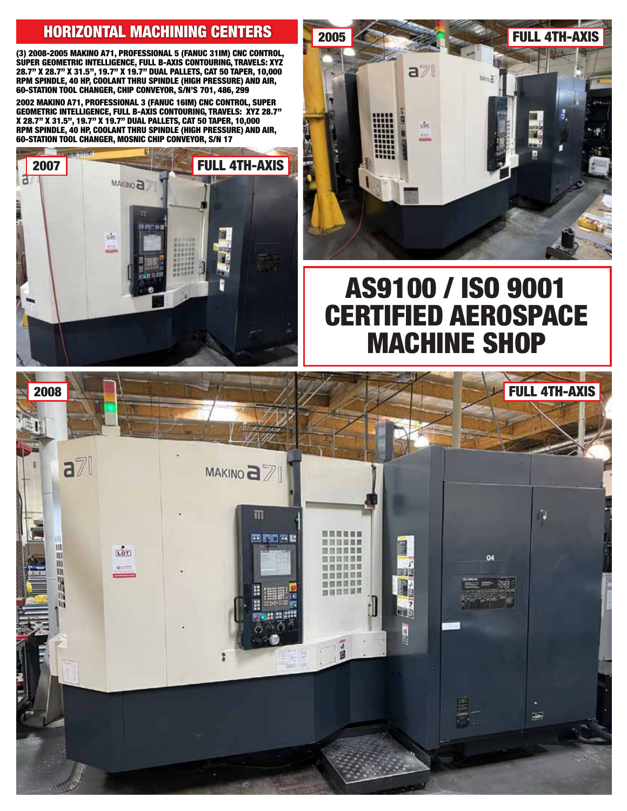#### **HORIZONTAL MACHINING CENTERS** 2005

(3) 2008-2005 MAKINO A71, PROFESSIONAL 5 (FANUC 31IM) CNC CONTROL, SUPER GEOMETRIC INTELLIGENCE, FULL B-AXIS CONTOURING, TRAVELS: XYZ 28.7" X 28.7" X 31.5", 19.7" X 19.7" DUAL PALLETS, CAT 50 TAPER, 10,000 RPM SPINDLE, 40 HP, COOLANT THRU SPINDLE (HIGH PRESSURE) AND AIR, 60-STATION TOOL CHANGER, CHIP CONVEYOR, S/N'S 701, 486, 299

2002 MAKINO A71, PROFESSIONAL 3 (FANUC 16IM) CNC CONTROL, SUPER GEOMETRIC INTELLIGENCE, FULL B-AXIS CONTOURING, TRAVELS: XYZ 28.7" X 28.7" X 31.5", 19.7" X 19.7" DUAL PALLETS, CAT 50 TAPER, 10,000 RPM SPINDLE, 40 HP, COOLANT THRU SPINDLE (HIGH PRESSURE) AND AIR, 60-STATION TOOL CHANGER, MOSNIC CHIP CONVEYOR, S/N 17





## AS9100 / ISO 9001 CERTIFIED AEROSPACE MACHINE SHOP

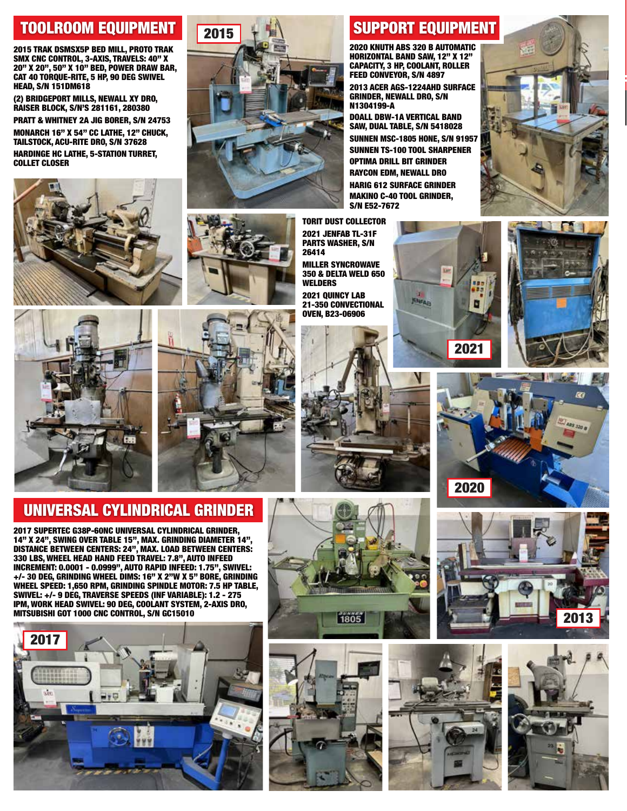#### TOOLROOM EQUIPMENT **SUPPORT EQUIPMENT**

2015 TRAK DSMSX5P BED MILL, PROTO TRAK SMX CNC CONTROL, 3-AXIS, TRAVELS: 40" X 20" X 20", 50" X 10" BED, POWER DRAW BAR, CAT 40 TORQUE-RITE, 5 HP, 90 DEG SWIVEL HEAD, S/N 151DM618

(2) BRIDGEPORT MILLS, NEWALL XY DRO, RAISER BLOCK, S/N'S 281161, 280380

PRATT & WHITNEY 2A JIG BORER, S/N 24753 MONARCH 16" X 54" CC LATHE, 12" CHUCK, TAILSTOCK, ACU-RITE DRO, S/N 37628 HARDINGE HC LATHE, 5-STATION TURRET, COLLET CLOSER





2020 KNUTH ABS 320 B AUTOMATIC HORIZONTAL BAND SAW, 12" X 12" CAPACITY, 3 HP, COOLANT, ROLLER FEED CONVEYOR, S/N 4897

2013 ACER AGS-1224AHD SURFACE GRINDER, NEWALL DRO, S/N N1304199-A

DOALL DBW-1A VERTICAL BAND SAW, DUAL TABLE, S/N 5418028 SUNNEN MSC-1805 HONE, S/N 91957 SUNNEN TS-100 TOOL SHARPENER OPTIMA DRILL BIT GRINDER RAYCON EDM, NEWALL DRO HARIG 612 SURFACE GRINDER MAKINO C-40 TOOL GRINDER, S/N E52-7672



MILLER SYNCROWAVE 350 & DELTA WELD 650 WELDERS

2021 QUINCY LAB 21-350 CONVECTIONAL OVEN, B23-06906









2017 SUPERTEC G38P-60NC UNIVERSAL CYLINDRICAL GRINDER, 14" X 24", SWING OVER TABLE 15", MAX. GRINDING DIAMETER 14", DISTANCE BETWEEN CENTERS: 24", MAX. LOAD BETWEEN CENTERS: 330 LBS, WHEEL HEAD HAND FEED TRAVEL: 7.8", AUTO INFEED INCREMENT: 0.0001 - 0.0999", AUTO RAPID INFEED: 1.75", SWIVEL: +/- 30 DEG, GRINDING WHEEL DIMS: 16" X 2"W X 5" BORE, GRINDING WHEEL SPEED: 1,650 RPM, GRINDING SPINDLE MOTOR: 7.5 HP TABLE, SWIVEL: +/- 9 DEG, TRAVERSE SPEEDS (INF VARIABLE): 1.2 - 275 IPM, WORK HEAD SWIVEL: 90 DEG, COOLANT SYSTEM, 2-AXIS DRO, MITSUBISHI GOT 1000 CNC CONTROL, S/N GC15010











2013